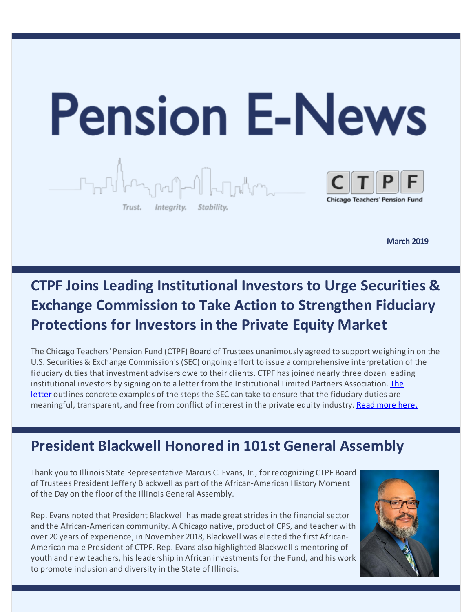

**March 2019**

# **CTPF Joins Leading Institutional Investors to Urge Securities & Exchange Commission to Take Action to Strengthen Fiduciary Protections for Investors in the Private Equity Market**

The Chicago Teachers' Pension Fund (CTPF) Board of Trustees unanimously agreed to support weighing in on the U.S. Securities & Exchange Commission's (SEC) ongoing effort to issue a comprehensive interpretation of the fiduciary duties that investment advisers owe to their clients. CTPF has joined nearly three dozen leading [institutional](https://ilpa.org/wp-content/uploads/2019/02/2019.2.12-ILPA-Member-Letter-on-Fiduciary-Duty-Submission-Copy.pdf) investors by signing on to a letter from the Institutional Limited Partners Association. The letter outlines concrete examples of the steps the SEC can take to ensure that the fiduciary duties are meaningful, transparent, and free from conflict of interest in the private equity industry. Read [more](https://www.ctpf.org/news/chicago-teachers-pension-fund-joins-leading-institutional-investors-urge-securities-exchange-0) here.

# **President Blackwell Honored in 101st General Assembly**

Thank you to Illinois State Representative Marcus C. Evans, Jr., for recognizing CTPF Board of Trustees President Jeffery Blackwell as part of the African-American History Moment of the Day on the floor of the Illinois General Assembly.

Rep. Evans noted that President Blackwell has made great strides in the financial sector and the African-American community. A Chicago native, product of CPS, and teacher with over 20 years of experience, in November 2018, Blackwell was elected the first African-American male President of CTPF. Rep. Evans also highlighted Blackwell's mentoring of youth and new teachers, his leadership in African investments for the Fund, and his work to promote inclusion and diversity in the State of Illinois.

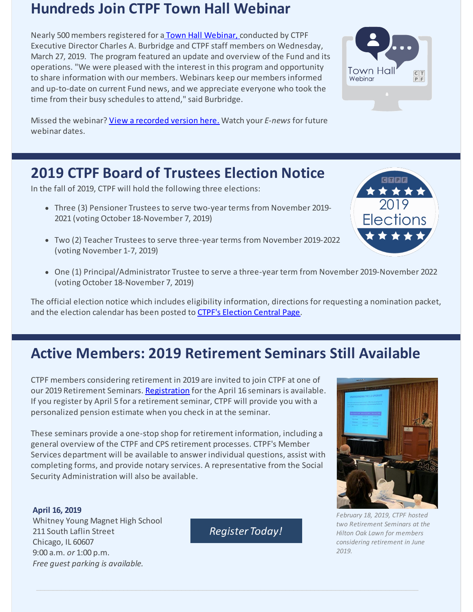## **Hundreds Join CTPF Town Hall Webinar**

Nearly 500 members registered for a Town Hall [Webinar,](https://register.gotowebinar.com/recording/7818705648193598728) conducted by CTPF Executive Director Charles A. Burbridge and CTPF staff members on Wednesday, March 27, 2019. The program featured an update and overview of the Fund and its operations. "We were pleased with the interest in this program and opportunity to share information with our members. Webinars keep our members informed and up-to-date on current Fund news, and we appreciate everyone who took the time from their busy schedules to attend," said Burbridge.

Missed the webinar? View a [recorded](https://register.gotowebinar.com/recording/7818705648193598728) version here. Watch your *E-news* for future webinar dates.

# **2019 CTPF Board of Trustees Election Notice**

In the fall of 2019, CTPF will hold the following three elections:

- Three (3) Pensioner Trustees to serve two-year terms from November 2019- 2021 (voting October 18-November 7, 2019)
- Two (2) Teacher Trustees to serve three-year terms from November 2019-2022 (voting November 1-7, 2019)
- One (1) Principal/Administrator Trustee to serve a three-year term from November 2019-November 2022 (voting October 18-November 7, 2019)

The official election notice which includes eligibility information, directions for requesting a nomination packet, and the election calendar has been posted to CTPF's [Election](https://www.ctpf.org/2019-election-central) Central Page.

# **Active Members: 2019 Retirement Seminars Still Available**

CTPF members considering retirement in 2019 are invited to join CTPF at one of our 2019 Retirement Seminars. [Registration](https://goo.gl/forms/aIcWMLwPGVazbKEu2) for the April 16 seminars is available. If you register by April 5 for a retirement seminar, CTPF will provide you with a personalized pension estimate when you check in at the seminar.

These seminars provide a one-stop shop for retirement information, including a general overview of the CTPF and CPS retirement processes. CTPF's Member Services department will be available to answer individual questions, assist with completing forms, and provide notary services. A representative from the Social Security Administration will also be available.

**April 16, 2019** Whitney Young Magnet High School 211 South Laflin Street Chicago, IL 60607 9:00 a.m. *or* 1:00 p.m. *Free guest parking is available.*

**Register Today!** 







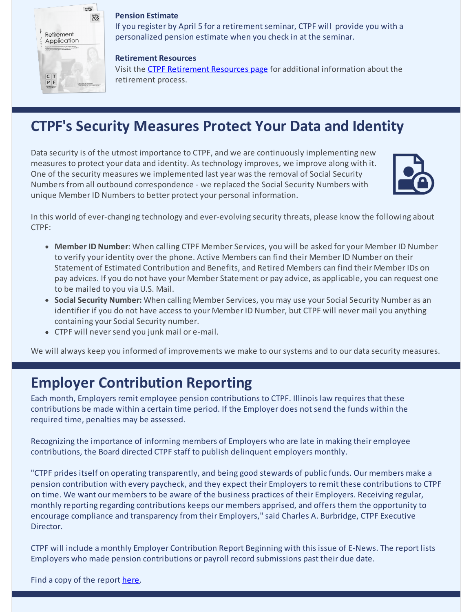

#### **Pension Estimate**

If you register by April 5 for a retirement seminar, CTPF will provide you with a personalized pension estimate when you check in at the seminar.

#### **Retirement Resources**

Visit the CTPF [Retirement](https://www.ctpf.org/retirement-resources) Resources page for additional information about the retirement process.

## **CTPF's Security Measures Protect Your Data and Identity**

Data security is of the utmost importance to CTPF, and we are continuously implementing new measures to protect your data and identity. As technology improves, we improve along with it. One of the security measures we implemented last year was the removal of Social Security Numbers from all outbound correspondence - we replaced the Social Security Numbers with unique Member ID Numbers to better protect your personal information.



In this world of ever-changing technology and ever-evolving security threats, please know the following about CTPF:

- **Member ID Number**: When calling CTPF Member Services, you will be asked for your Member ID Number to verify your identity over the phone. Active Members can find their Member ID Number on their Statement of Estimated Contribution and Benefits, and Retired Members can find their Member IDs on pay advices. If you do not have your Member Statement or pay advice, as applicable, you can request one to be mailed to you via U.S. Mail.
- **Social Security Number:** When calling Member Services, you may use your Social Security Number as an identifier if you do not have access to your Member ID Number, but CTPF will never mail you anything containing your Social Security number.
- CTPF will neversend you junk mail or e-mail.

We will always keep you informed of improvements we make to our systems and to our data security measures.

## **Employer Contribution Reporting**

Each month, Employers remit employee pension contributions to CTPF. Illinois law requires that these contributions be made within a certain time period. If the Employer does not send the funds within the required time, penalties may be assessed.

Recognizing the importance of informing members of Employers who are late in making their employee contributions, the Board directed CTPF staff to publish delinquent employers monthly.

"CTPF prides itself on operating transparently, and being good stewards of public funds. Our members make a pension contribution with every paycheck, and they expect their Employers to remit these contributions to CTPF on time. We want our members to be aware of the business practices of their Employers. Receiving regular, monthly reporting regarding contributions keeps our members apprised, and offers them the opportunity to encourage compliance and transparency from their Employers," said Charles A. Burbridge, CTPF Executive Director.

CTPF will include a monthly Employer Contribution Report Beginning with this issue of E-News. The report lists Employers who made pension contributions or payroll record submissions past their due date.

Find a copy of the report [here](https://www.ctpf.org/employer-contribution-reporting).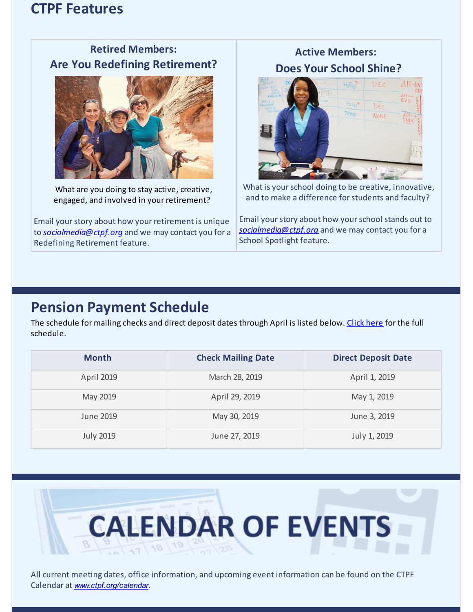### **CTPF Features**



**Retired Members:**

What are you doing to stay active, creative, engaged, and involved in your retirement?

Email yourstory about how your retirement is unique to *[socialmedia@ctpf.org](mailto:socialmedia@ctpf.org)* and we may contact you for a Redefining Retirement feature.

### **Active Members: Does Your School Shine?**



What is your school doing to be creative, innovative, and to make a difference forstudents and faculty?

Email your story about how your school stands out to *[socialmedia@ctpf.org](mailto:socialmedia@ctpf.org)* and we may contact you for a School Spotlight feature.

### **Pension Payment Schedule**

The schedule for mailing checks and direct deposit dates through April is listed below. [Click](https://www.ctpf.org/pension-payments) here for the full schedule.

| <b>Month</b>      | <b>Check Mailing Date</b> | <b>Direct Deposit Date</b> |
|-------------------|---------------------------|----------------------------|
| <b>April 2019</b> | March 28, 2019            | April 1, 2019              |
| May 2019          | April 29, 2019            | May 1, 2019                |
| June 2019         | May 30, 2019              | June 3, 2019               |
| <b>July 2019</b>  | June 27, 2019             | July 1, 2019               |



All current meeting dates, office information, and upcoming event information can be found on the CTPF Calendar at *[www.ctpf.org/calendar](http://www.ctpf.org/calendar)*.